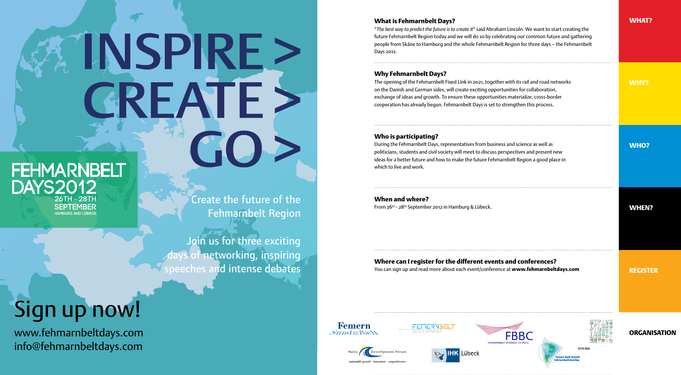# **FEHMARNBELT DAYS2012** 26TH - 28TH **SEPTEMBER** HAMBLIRG AND LÜBECK

Create the future of the Fehmarnbelt Region

INSPIRE :

CREATE

Join us for three exciting of networking, inspiring peeches and intense debates

### What is Fehmarnbelt Days?

"*The best way to predict the future is to create it*" said Abraham Lincoln. We want to start creating the future Fehmarnbelt Region today and we will do so by celebrating our common future and gathering people from Skåne to Hamburg and the whole Fehmarnbelt Region for three days – the Fehmarnbelt Days 2012.

## Why Fehmarnbelt Days?

The opening of the Fehmarnbelt Fixed Link in 2021, together with its rail and road networks on the Danish and German sides, will create exciting opportunities for collaboration, exchange of ideas and growth. To ensure these opportunities materialize, cross-border cooperation has already begun. Fehmarnbelt Days is set to strengthen this process.

## Who is participating?

During the Fehmarnbelt Days, representatives from business and science as well as politicians, students and civil society will meet to discuss perspectives and present new ideas for a better future and how to make the future Fehmarnbelt Region a good place in which to live and work.

When and where? From 26th - 28th September 2012 in Hamburg & Lübeck.

WHEN?

## Where can I register for the different events and conferences? You can sign up and read more about each event/conference at www.fehmarnbeltdays.com

REGISTER

# Sign up now!

www.fehmarnbeltdays.com info@fehmarnbeltdays.com



WHY?

WHO?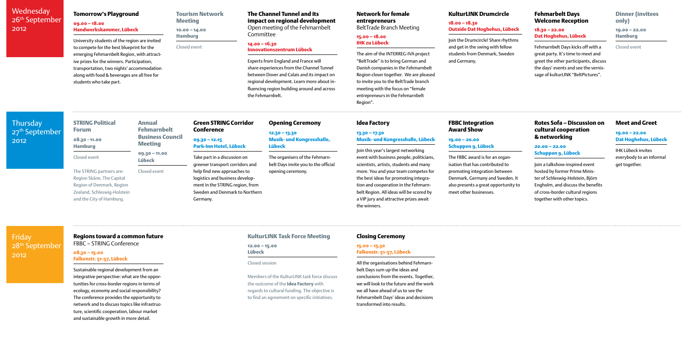# **Wednesday** 26<sup>th</sup> September 2012

# **Thursdav** 27<sup>th</sup> September 2012

Friday 28th September 2012

## Closing Ceremony

#### 15.00 – 15.30 Falkenstr. 51-57, Lübeck

All the organisations behind Fehmarnbelt Days sum up the ideas and conclusions from the events. Together, we will look to the future and the work we all have ahead of us to see the Fehmarnbelt Days' ideas and decisions transformed into results.

#### Tourism Network **Meeting**

#### Tomorrow's Playground

#### 09.00 – 18.00 Handwerkskammer, Lübeck

University students of the region are invited to compete for the best blueprint for the emerging Fehmarnbelt Region, with attractive prizes for the winners. Participation, transportation, two nights' accommodation along with food & beverages are all free for students who take part.

10.00 – 14.00

Hamburg

#### Closed event

# The Channel Tunnel and its impact on regional development

Open meeting of the Fehmarnbelt Committee

#### 14.00 – 16.30

# Innovationszentrum Lübeck

Experts from England and France will share experiences from the Channel Tunnel between Dover and Calais and its impact on regional development. Learn more about influencing region building around and across the Fehmarnbelt.

#### Annual Fehmarnbelt Business Council **Meeting**

# KulturLINK Drumcircle

#### 18.00 – 18.30 Outside Dat Hoghehus, Lübeck

Join the Drumcircle! Share rhythms and get in the swing with fellow students from Denmark, Sweden and Germany.

# Network for female entrepreneurs

BeltTrade Branch Meeting

#### 15.00 – 18.00 IHK zu Lübeck

The aim of the INTERREG-IVA project "BeltTrade" is to bring German and Danish companies in the Fehmarnbelt Region closer together. We are pleased to invite you to the BeltTrade branch meeting with the focus on "female entrepreneurs in the Fehmarnbelt Region".

#### Fehmarbelt Days Welcome Reception

#### 18.30 – 22.00 Dat Hoghehus, Lübeck

Fehmarnbelt Days kicks off with a great party. It's time to meet and greet the other participants, discuss the days' events and see the vernissage of kulturLINK "BeltPictures".

# Dinner (invitees only)

19.00 – 22.00 Hamburg

Closed event

# Green STRING Corridor Conference 09.30 – 12.15

Park-Inn Hotel, Lübeck

Take part in a discussion on greener transport corridors and help find new approaches to logistics and business development in the STRING region, from Sweden and Denmark to Northern Germany.

09.30 – 11.00 Lübeck

# Closed event

#### Opening Ceremony

12.30 – 13.30 Musik- und Kongresshalle, Lübeck

The organisers of the Fehmarnbelt Days invite you to the official opening ceremony.

## Idea Factory

#### 13.30 – 17.30 Musik- und Kongresshalle, Lübeck

Join this year's largest networking event with business people, politicians, scientists, artists, students and many more. You and your team competes for the best ideas for promoting integration and cooperation in the Fehmarnbelt Region. All ideas will be scored by a VIP jury and attractive prizes await the winners.

#### FBBC Integration Award Show

#### 19.00 – 20.00 Schuppen 9, Lübeck

The FBBC award is for an organisation that has contributed to promoting integration between Denmark, Germany and Sweden. It also presents a great opportunity to meet other businesses.

#### Rotes Sofa – Discussion on cultural cooperation & networking

#### 20.00 – 22.00 Schuppen 9, Lübeck

Join a talkshow-inspired event hosted by former Prime Minister of Schleswig-Holstein, Björn Engholm, and discuss the benefits of cross-border cultural regions together with other topics.

# Regions toward a common future

FBBC – STRING Conference

#### 08.30 – 15.00 Falkenstr. 51-57, Lübeck

Sustainable regional development from an integrative perspective: what are the opportunities for cross-border regions in terms of ecology, economy and social responsibility? The conference provides the opportunity to network and to discuss topics like infrastructure, scientific cooperation, labour market and sustainable growth in more detail.

## KulturLINK Task Force Meeting

#### 12.00 – 15.00 Lübeck

#### Closed session

Members of the KulturLINK task force discuss the outcome of the **Idea Factory** with regards to cultural funding. The objective is to find an agreement on specific initiatives.

## Meet and Greet

#### 19.00 – 22.00 Dat Hoghehus, Lübeck

IHK Lübeck invites everybody to an informal get together.

# STRING Political Forum

08.30 - 11.00 Hamburg Closed event

The STRING partners are: Region Skåne, The Capital Region of Denmark, Region Zealand, Schleswig-Holstein and the City of Hamburg.